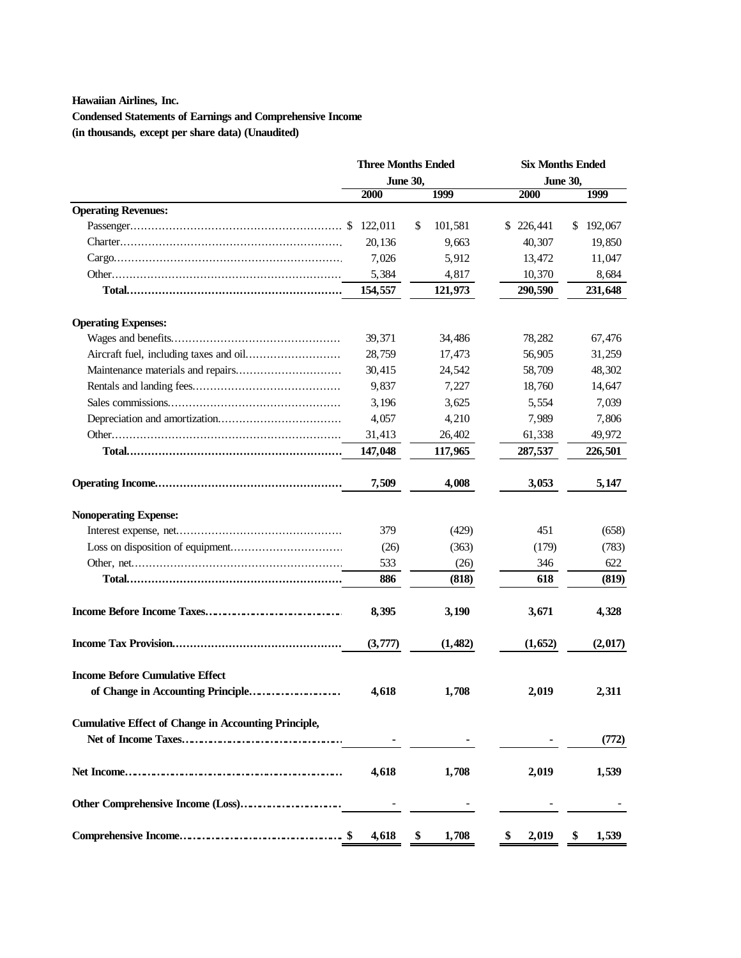## **Hawaiian Airlines, Inc.**

**Condensed Statements of Earnings and Comprehensive Income (in thousands, except per share data) (Unaudited)**

|                                                             | <b>Three Months Ended</b><br><b>June 30,</b> |               | <b>Six Months Ended</b> |               |  |  |
|-------------------------------------------------------------|----------------------------------------------|---------------|-------------------------|---------------|--|--|
|                                                             |                                              |               | <b>June 30,</b>         |               |  |  |
|                                                             | 2000                                         | 1999          | 2000                    | 1999          |  |  |
| <b>Operating Revenues:</b>                                  |                                              |               |                         |               |  |  |
|                                                             |                                              | \$<br>101,581 | \$226,441               | 192,067<br>\$ |  |  |
|                                                             | 20,136                                       | 9,663         | 40,307                  | 19,850        |  |  |
|                                                             | 7,026                                        | 5,912         | 13,472                  | 11,047        |  |  |
|                                                             | 5,384                                        | 4,817         | 10,370                  | 8,684         |  |  |
|                                                             | 154,557                                      | 121,973       | 290,590                 | 231,648       |  |  |
| <b>Operating Expenses:</b>                                  |                                              |               |                         |               |  |  |
|                                                             | 39,371                                       | 34,486        | 78,282                  | 67,476        |  |  |
|                                                             | 28,759                                       | 17,473        | 56,905                  | 31,259        |  |  |
|                                                             | 30,415                                       | 24,542        | 58,709                  | 48,302        |  |  |
|                                                             | 9,837                                        | 7,227         | 18,760                  | 14,647        |  |  |
|                                                             | 3,196                                        | 3,625         | 5,554                   | 7,039         |  |  |
|                                                             | 4,057                                        | 4,210         | 7,989                   | 7,806         |  |  |
|                                                             | 31,413                                       | 26,402        | 61,338                  | 49,972        |  |  |
|                                                             | 147,048                                      | 117,965       | 287,537                 | 226,501       |  |  |
|                                                             | 7,509                                        | 4,008         | 3,053                   | 5,147         |  |  |
| <b>Nonoperating Expense:</b>                                |                                              |               |                         |               |  |  |
|                                                             | 379                                          | (429)         | 451                     | (658)         |  |  |
|                                                             | (26)                                         | (363)         | (179)                   | (783)         |  |  |
|                                                             | 533                                          | (26)          | 346                     | 622           |  |  |
|                                                             | 886                                          | (818)         | 618                     | (819)         |  |  |
|                                                             | 8,395                                        | 3,190         | 3,671                   | 4,328         |  |  |
|                                                             | (3,777)                                      | (1,482)       | (1,652)                 | (2,017)       |  |  |
| <b>Income Before Cumulative Effect</b>                      |                                              |               |                         |               |  |  |
| of Change in Accounting Principle                           | 4.618                                        | 1,708         | 2,019                   | 2,311         |  |  |
| <b>Cumulative Effect of Change in Accounting Principle,</b> |                                              |               |                         |               |  |  |
| Net of Income Taxes                                         |                                              |               |                         | (772)         |  |  |
|                                                             | 4,618                                        | 1,708         | 2,019                   | 1,539         |  |  |
| Other Comprehensive Income (Loss)                           |                                              |               |                         |               |  |  |
|                                                             | 4,618<br>-SS                                 | \$<br>1,708   | \$<br>2,019             | \$<br>1,539   |  |  |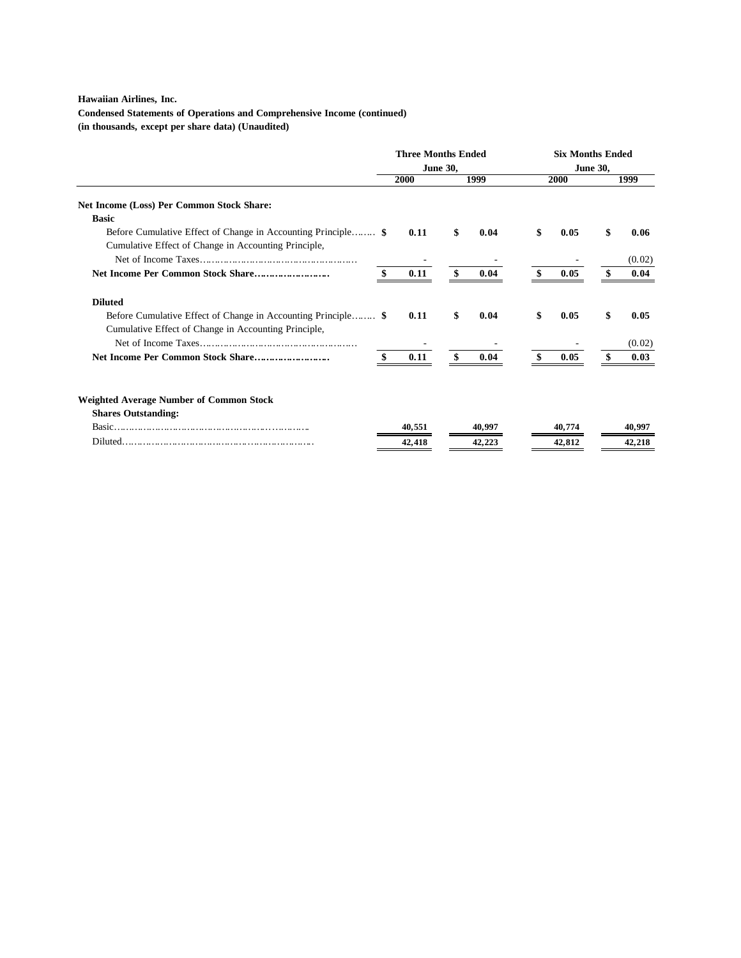## **Hawaiian Airlines, Inc.**

**Condensed Statements of Operations and Comprehensive Income (continued)**

**(in thousands, except per share data) (Unaudited)**

|                                                               | <b>Three Months Ended</b><br><b>June 30,</b> |        |      | <b>Six Months Ended</b> |             |        |      |        |
|---------------------------------------------------------------|----------------------------------------------|--------|------|-------------------------|-------------|--------|------|--------|
|                                                               |                                              |        |      | <b>June 30,</b>         |             |        |      |        |
|                                                               | 2000                                         |        | 1999 |                         | <b>2000</b> |        | 1999 |        |
| Net Income (Loss) Per Common Stock Share:                     |                                              |        |      |                         |             |        |      |        |
| <b>Basic</b>                                                  |                                              |        |      |                         |             |        |      |        |
|                                                               |                                              | 0.11   | \$   | 0.04                    | \$          | 0.05   | \$   | 0.06   |
| Cumulative Effect of Change in Accounting Principle,          |                                              |        |      |                         |             |        |      |        |
|                                                               |                                              |        |      |                         |             |        |      | (0.02) |
|                                                               |                                              | 0.11   | \$   | 0.04                    | \$          | 0.05   | \$.  | 0.04   |
| <b>Diluted</b>                                                |                                              |        |      |                         |             |        |      |        |
| Before Cumulative Effect of Change in Accounting Principle \$ |                                              | 0.11   | \$   | 0.04                    | \$          | 0.05   | \$   | 0.05   |
| Cumulative Effect of Change in Accounting Principle,          |                                              |        |      |                         |             |        |      |        |
|                                                               |                                              |        |      |                         |             |        |      | (0.02) |
| Net Income Per Common Stock Share                             |                                              | 0.11   | \$   | 0.04                    |             | 0.05   | \$   | 0.03   |
| <b>Weighted Average Number of Common Stock</b>                |                                              |        |      |                         |             |        |      |        |
| <b>Shares Outstanding:</b>                                    |                                              |        |      |                         |             |        |      |        |
|                                                               |                                              | 40.551 |      | 40.997                  |             | 40.774 |      | 40,997 |
|                                                               |                                              | 42,418 |      | 42.223                  |             | 42,812 |      | 42,218 |
|                                                               |                                              |        |      |                         |             |        |      |        |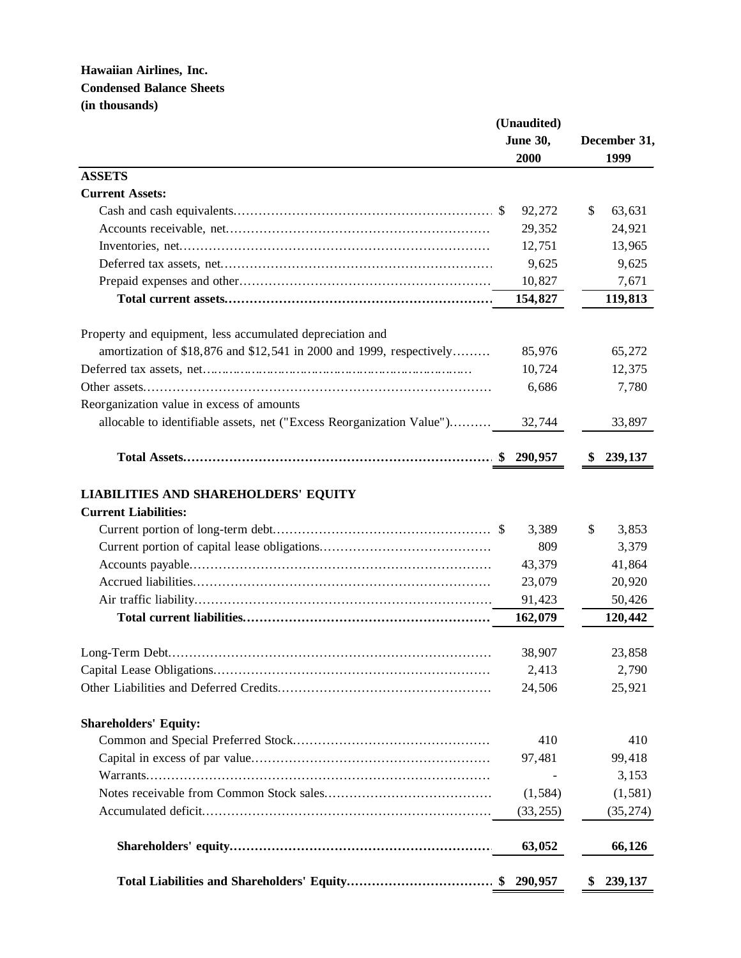|                                                                            | (Unaudited)<br><b>June 30,</b><br>2000 | December 31,<br>1999 |
|----------------------------------------------------------------------------|----------------------------------------|----------------------|
| <b>ASSETS</b>                                                              |                                        |                      |
| <b>Current Assets:</b>                                                     |                                        |                      |
|                                                                            | 92,272                                 | \$<br>63,631         |
|                                                                            | 29,352                                 | 24,921               |
|                                                                            | 12,751                                 | 13,965               |
|                                                                            | 9,625                                  | 9,625                |
|                                                                            | 10,827                                 | 7,671                |
|                                                                            | 154,827                                | 119,813              |
| Property and equipment, less accumulated depreciation and                  |                                        |                      |
| amortization of \$18,876 and \$12,541 in 2000 and 1999, respectively       | 85,976                                 | 65,272               |
|                                                                            | 10,724                                 | 12,375               |
|                                                                            | 6,686                                  | 7,780                |
| Reorganization value in excess of amounts                                  |                                        |                      |
| allocable to identifiable assets, net ("Excess Reorganization Value")      | 32,744                                 | 33,897               |
|                                                                            |                                        | 239,137              |
| <b>LIABILITIES AND SHAREHOLDERS' EQUITY</b><br><b>Current Liabilities:</b> |                                        |                      |
|                                                                            | 3,389                                  | \$<br>3,853          |
|                                                                            | 809                                    | 3,379                |
|                                                                            | 43,379                                 | 41,864               |
|                                                                            | 23,079                                 | 20,920               |
|                                                                            | 91,423                                 | 50,426               |
|                                                                            | 162,079                                | 120,442              |
| Long-Term Debt                                                             | 38,907                                 | 23,858               |
|                                                                            | 2,413                                  | 2,790                |
|                                                                            | 24,506                                 | 25,921               |
| <b>Shareholders' Equity:</b>                                               |                                        |                      |
|                                                                            | 410                                    | 410                  |
|                                                                            | 97,481                                 | 99,418               |
|                                                                            |                                        | 3,153                |
|                                                                            | (1, 584)                               | (1, 581)             |
|                                                                            | (33, 255)                              | (35, 274)            |
|                                                                            | 63,052                                 | 66,126               |
|                                                                            | 290,957                                | 239,137<br>\$        |